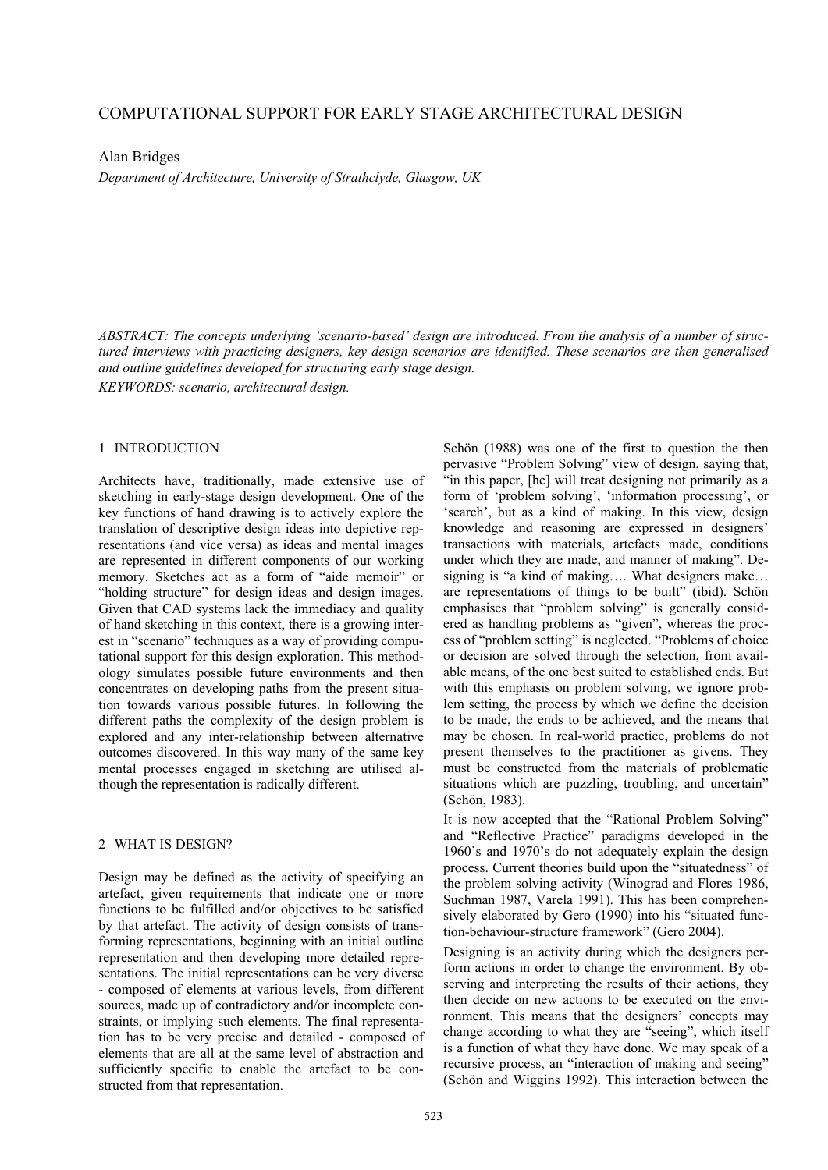Alan Bridges

*Department of Architecture, University of Strathclyde, Glasgow, UK* 

*ABSTRACT: The concepts underlying 'scenario-based' design are introduced. From the analysis of a number of structured interviews with practicing designers, key design scenarios are identified. These scenarios are then generalised and outline guidelines developed for structuring early stage design.* 

*KEYWORDS: scenario, architectural design.* 

# 1 INTRODUCTION

Architects have, traditionally, made extensive use of sketching in early-stage design development. One of the key functions of hand drawing is to actively explore the translation of descriptive design ideas into depictive representations (and vice versa) as ideas and mental images are represented in different components of our working memory. Sketches act as a form of "aide memoir" or "holding structure" for design ideas and design images. Given that CAD systems lack the immediacy and quality of hand sketching in this context, there is a growing interest in "scenario" techniques as a way of providing computational support for this design exploration. This methodology simulates possible future environments and then concentrates on developing paths from the present situation towards various possible futures. In following the different paths the complexity of the design problem is explored and any inter-relationship between alternative outcomes discovered. In this way many of the same key mental processes engaged in sketching are utilised although the representation is radically different.

## 2 WHAT IS DESIGN?

Design may be defined as the activity of specifying an artefact, given requirements that indicate one or more functions to be fulfilled and/or objectives to be satisfied by that artefact. The activity of design consists of transforming representations, beginning with an initial outline representation and then developing more detailed representations. The initial representations can be very diverse - composed of elements at various levels, from different sources, made up of contradictory and/or incomplete constraints, or implying such elements. The final representation has to be very precise and detailed - composed of elements that are all at the same level of abstraction and sufficiently specific to enable the artefact to be constructed from that representation.

Schön (1988) was one of the first to question the then pervasive "Problem Solving" view of design, saying that, "in this paper, [he] will treat designing not primarily as a form of 'problem solving', 'information processing', or 'search', but as a kind of making. In this view, design knowledge and reasoning are expressed in designers' transactions with materials, artefacts made, conditions under which they are made, and manner of making". Designing is "a kind of making.... What designers make... are representations of things to be built" (ibid). Schön emphasises that "problem solving" is generally considered as handling problems as "given", whereas the process of "problem setting" is neglected. "Problems of choice or decision are solved through the selection, from available means, of the one best suited to established ends. But with this emphasis on problem solving, we ignore problem setting, the process by which we define the decision to be made, the ends to be achieved, and the means that may be chosen. In real-world practice, problems do not present themselves to the practitioner as givens. They must be constructed from the materials of problematic situations which are puzzling, troubling, and uncertain" (Schön, 1983).

It is now accepted that the "Rational Problem Solving" and "Reflective Practice" paradigms developed in the 1960's and 1970's do not adequately explain the design process. Current theories build upon the "situatedness" of the problem solving activity (Winograd and Flores 1986, Suchman 1987, Varela 1991). This has been comprehensively elaborated by Gero (1990) into his "situated function-behaviour-structure framework" (Gero 2004).

Designing is an activity during which the designers perform actions in order to change the environment. By observing and interpreting the results of their actions, they then decide on new actions to be executed on the environment. This means that the designers' concepts may change according to what they are "seeing", which itself is a function of what they have done. We may speak of a recursive process, an "interaction of making and seeing" (Schön and Wiggins 1992). This interaction between the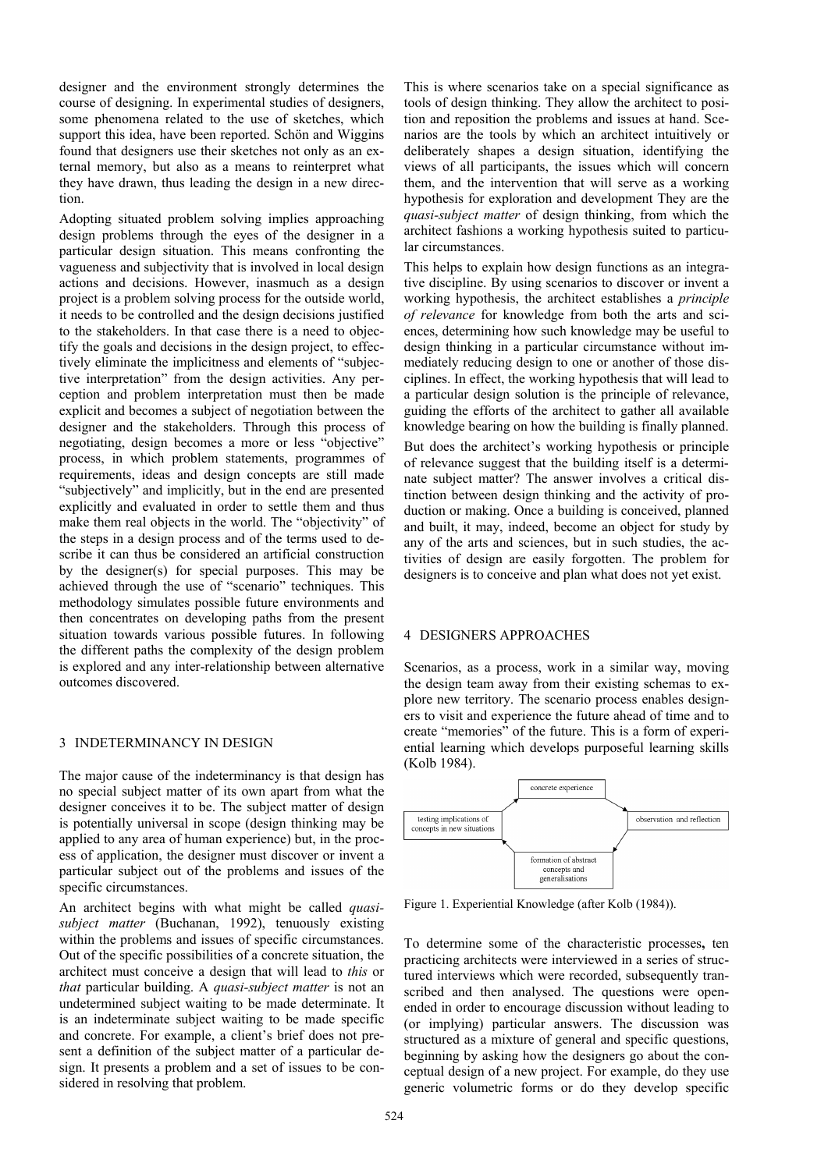designer and the environment strongly determines the course of designing. In experimental studies of designers, some phenomena related to the use of sketches, which support this idea, have been reported. Schön and Wiggins found that designers use their sketches not only as an external memory, but also as a means to reinterpret what they have drawn, thus leading the design in a new direction.

Adopting situated problem solving implies approaching design problems through the eyes of the designer in a particular design situation. This means confronting the vagueness and subjectivity that is involved in local design actions and decisions. However, inasmuch as a design project is a problem solving process for the outside world, it needs to be controlled and the design decisions justified to the stakeholders. In that case there is a need to objectify the goals and decisions in the design project, to effectively eliminate the implicitness and elements of "subjective interpretation" from the design activities. Any perception and problem interpretation must then be made explicit and becomes a subject of negotiation between the designer and the stakeholders. Through this process of negotiating, design becomes a more or less "objective" process, in which problem statements, programmes of requirements, ideas and design concepts are still made "subjectively" and implicitly, but in the end are presented explicitly and evaluated in order to settle them and thus make them real objects in the world. The "objectivity" of the steps in a design process and of the terms used to describe it can thus be considered an artificial construction by the designer(s) for special purposes. This may be achieved through the use of "scenario" techniques. This methodology simulates possible future environments and then concentrates on developing paths from the present situation towards various possible futures. In following the different paths the complexity of the design problem is explored and any inter-relationship between alternative outcomes discovered.

### 3 INDETERMINANCY IN DESIGN

The major cause of the indeterminancy is that design has no special subject matter of its own apart from what the designer conceives it to be. The subject matter of design is potentially universal in scope (design thinking may be applied to any area of human experience) but, in the process of application, the designer must discover or invent a particular subject out of the problems and issues of the specific circumstances.

An architect begins with what might be called *quasisubject matter* (Buchanan, 1992), tenuously existing within the problems and issues of specific circumstances. Out of the specific possibilities of a concrete situation, the architect must conceive a design that will lead to *this* or *that* particular building. A *quasi-subject matter* is not an undetermined subject waiting to be made determinate. It is an indeterminate subject waiting to be made specific and concrete. For example, a client's brief does not present a definition of the subject matter of a particular design. It presents a problem and a set of issues to be considered in resolving that problem.

This is where scenarios take on a special significance as tools of design thinking. They allow the architect to position and reposition the problems and issues at hand. Scenarios are the tools by which an architect intuitively or deliberately shapes a design situation, identifying the views of all participants, the issues which will concern them, and the intervention that will serve as a working hypothesis for exploration and development They are the *quasi-subject matter* of design thinking, from which the architect fashions a working hypothesis suited to particular circumstances.

This helps to explain how design functions as an integrative discipline. By using scenarios to discover or invent a working hypothesis, the architect establishes a *principle of relevance* for knowledge from both the arts and sciences, determining how such knowledge may be useful to design thinking in a particular circumstance without immediately reducing design to one or another of those disciplines. In effect, the working hypothesis that will lead to a particular design solution is the principle of relevance, guiding the efforts of the architect to gather all available knowledge bearing on how the building is finally planned. But does the architect's working hypothesis or principle of relevance suggest that the building itself is a determinate subject matter? The answer involves a critical distinction between design thinking and the activity of production or making. Once a building is conceived, planned and built, it may, indeed, become an object for study by any of the arts and sciences, but in such studies, the activities of design are easily forgotten. The problem for designers is to conceive and plan what does not yet exist.

### 4 DESIGNERS APPROACHES

Scenarios, as a process, work in a similar way, moving the design team away from their existing schemas to explore new territory. The scenario process enables designers to visit and experience the future ahead of time and to create "memories" of the future. This is a form of experiential learning which develops purposeful learning skills (Kolb 1984).



Figure 1. Experiential Knowledge (after Kolb (1984)).

To determine some of the characteristic processes**,** ten practicing architects were interviewed in a series of structured interviews which were recorded, subsequently transcribed and then analysed. The questions were openended in order to encourage discussion without leading to (or implying) particular answers. The discussion was structured as a mixture of general and specific questions, beginning by asking how the designers go about the conceptual design of a new project. For example, do they use generic volumetric forms or do they develop specific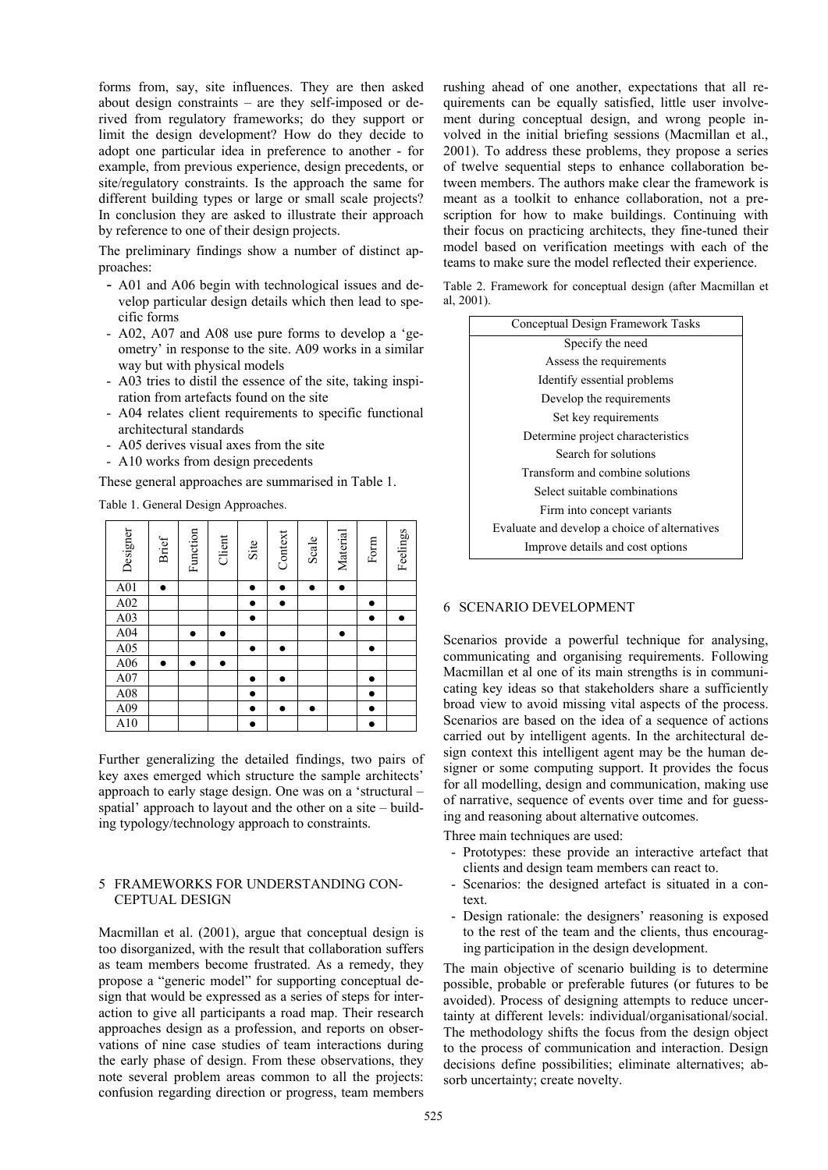forms from, say, site influences. They are then asked about design constraints – are they self-imposed or derived from regulatory frameworks; do they support or limit the design development? How do they decide to adopt one particular idea in preference to another - for example, from previous experience, design precedents, or site/regulatory constraints. Is the approach the same for different building types or large or small scale projects? In conclusion they are asked to illustrate their approach by reference to one of their design projects.

The preliminary findings show a number of distinct approaches:

- A01 and A06 begin with technological issues and develop particular design details which then lead to specific forms
- A02, A07 and A08 use pure forms to develop a 'geometry' in response to the site. A09 works in a similar way but with physical models
- A03 tries to distil the essence of the site, taking inspiration from artefacts found on the site
- A04 relates client requirements to specific functional architectural standards
- A05 derives visual axes from the site
- A10 works from design precedents

These general approaches are summarised in Table 1.

Table 1. General Design Approaches.

| Designer | Brief     | Function | Client | Site      | Context | Scale | Material | ${\tt Form}$ | Feelings |
|----------|-----------|----------|--------|-----------|---------|-------|----------|--------------|----------|
| A01      |           |          |        |           |         |       |          |              |          |
| A02      |           |          |        |           |         |       |          | $\bullet$    |          |
| A03      |           |          |        |           |         |       |          |              |          |
| A04      |           | ٠        |        |           |         |       |          |              |          |
| A05      |           |          |        |           |         |       |          | $\bullet$    |          |
| A06      | $\bullet$ |          |        |           |         |       |          |              |          |
| A07      |           |          |        |           |         |       |          | $\bullet$    |          |
| A08      |           |          |        | $\bullet$ |         |       |          | $\bullet$    |          |
| A09      |           |          |        |           |         |       |          | ٠            |          |
| A10      |           |          |        |           |         |       |          |              |          |

Further generalizing the detailed findings, two pairs of key axes emerged which structure the sample architects' approach to early stage design. One was on a 'structural – spatial' approach to layout and the other on a site – building typology/technology approach to constraints.

## 5 FRAMEWORKS FOR UNDERSTANDING CON-CEPTUAL DESIGN

Macmillan et al. (2001), argue that conceptual design is too disorganized, with the result that collaboration suffers as team members become frustrated. As a remedy, they propose a "generic model" for supporting conceptual design that would be expressed as a series of steps for interaction to give all participants a road map. Their research approaches design as a profession, and reports on observations of nine case studies of team interactions during the early phase of design. From these observations, they note several problem areas common to all the projects: confusion regarding direction or progress, team members

rushing ahead of one another, expectations that all requirements can be equally satisfied, little user involvement during conceptual design, and wrong people involved in the initial briefing sessions (Macmillan et al., 2001). To address these problems, they propose a series of twelve sequential steps to enhance collaboration between members. The authors make clear the framework is meant as a toolkit to enhance collaboration, not a prescription for how to make buildings. Continuing with their focus on practicing architects, they fine-tuned their model based on verification meetings with each of the teams to make sure the model reflected their experience.

Table 2. Framework for conceptual design (after Macmillan et al, 2001).

| Conceptual Design Framework Tasks             |
|-----------------------------------------------|
| Specify the need                              |
| Assess the requirements                       |
| Identify essential problems                   |
| Develop the requirements                      |
| Set key requirements                          |
| Determine project characteristics             |
| Search for solutions                          |
| Transform and combine solutions               |
| Select suitable combinations                  |
| Firm into concept variants                    |
| Evaluate and develop a choice of alternatives |
| Improve details and cost options              |
|                                               |

### 6 SCENARIO DEVELOPMENT

Scenarios provide a powerful technique for analysing, communicating and organising requirements. Following Macmillan et al one of its main strengths is in communicating key ideas so that stakeholders share a sufficiently broad view to avoid missing vital aspects of the process. Scenarios are based on the idea of a sequence of actions carried out by intelligent agents. In the architectural design context this intelligent agent may be the human designer or some computing support. It provides the focus for all modelling, design and communication, making use of narrative, sequence of events over time and for guessing and reasoning about alternative outcomes.

Three main techniques are used:

- Prototypes: these provide an interactive artefact that clients and design team members can react to.
- Scenarios: the designed artefact is situated in a context.
- Design rationale: the designers' reasoning is exposed to the rest of the team and the clients, thus encouraging participation in the design development.

The main objective of scenario building is to determine possible, probable or preferable futures (or futures to be avoided). Process of designing attempts to reduce uncertainty at different levels: individual/organisational/social. The methodology shifts the focus from the design object to the process of communication and interaction. Design decisions define possibilities; eliminate alternatives; absorb uncertainty; create novelty.